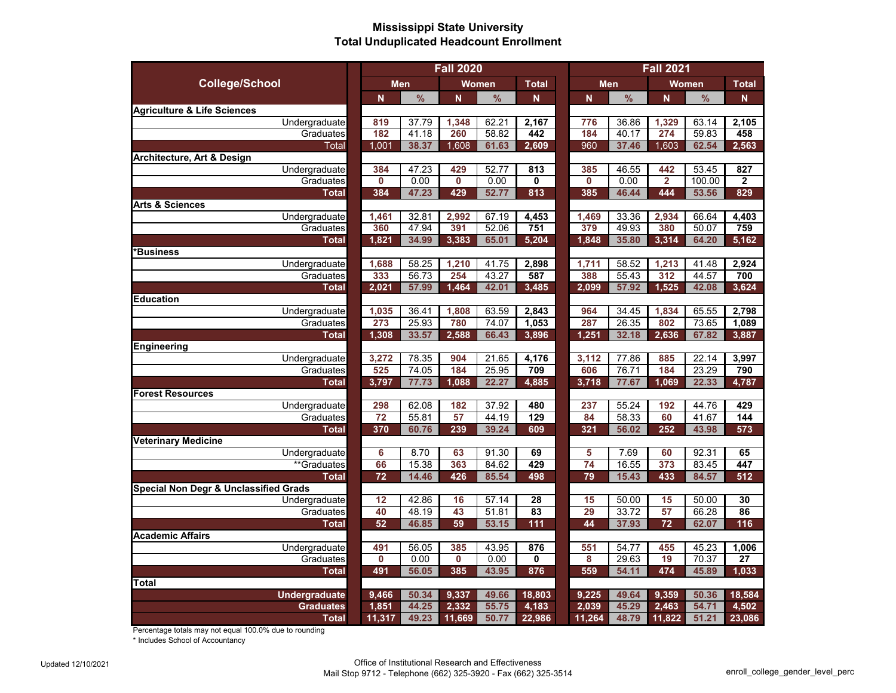## **Mississippi State University Total Unduplicated Headcount Enrollment**

|                                        | <b>Fall 2020</b> |                |              |                |              | <b>Fall 2021</b>        |               |                |                |              |
|----------------------------------------|------------------|----------------|--------------|----------------|--------------|-------------------------|---------------|----------------|----------------|--------------|
| <b>College/School</b>                  | <b>Men</b>       |                | <b>Women</b> |                | <b>Total</b> | <b>Men</b>              |               | Women          |                | <b>Total</b> |
|                                        | N                | $\frac{9}{6}$  | N            | $\frac{9}{6}$  | N            | $\overline{\mathsf{N}}$ | $\frac{9}{6}$ | N              | $\frac{9}{6}$  | N            |
| <b>Agriculture &amp; Life Sciences</b> |                  |                |              |                |              |                         |               |                |                |              |
| Undergraduate                          | 819              | 37.79          | 1,348        | 62.21          | 2,167        | 776                     | 36.86         | 1,329          | 63.14          | 2,105        |
| Graduates                              | 182              | 41.18          | 260          | 58.82          | 442          | 184                     | 40.17         | 274            | 59.83          | 458          |
| <b>Total</b>                           | 1,001            | 38.37          | 1,608        | 61.63          | 2,609        | 960                     | 37.46         | 1,603          | 62.54          | 2,563        |
| Architecture, Art & Design             |                  |                |              |                |              |                         |               |                |                |              |
| Undergraduate                          | 384              | 47.23          | 429          | 52.77          | 813          | 385                     | 46.55         | 442            | 53.45          | 827          |
| Graduates                              | $\mathbf 0$      | 0.00           | 0            | 0.00           | 0            | $\bf{0}$                | 0.00          | $\overline{2}$ | 100.00         | $\mathbf{2}$ |
| <b>Total</b>                           | 384              | 47.23          | 429          | 52.77          | 813          | 385                     | 46.44         | 444            | 53.56          | 829          |
| <b>Arts &amp; Sciences</b>             |                  |                |              |                |              |                         |               |                |                |              |
| Undergraduate                          | 1,461            | 32.81          | 2,992        | 67.19          | 4,453        | 1,469                   | 33.36         | 2,934          | 66.64          | 4,403        |
| Graduates                              | 360              | 47.94          | 391          | 52.06          | 751          | 379                     | 49.93         | 380            | 50.07          | 759          |
| <b>Total</b>                           | 1,821            | 34.99          | 3,383        | 65.01          | 5,204        | 1,848                   | 35.80         | 3,314          | 64.20          | 5,162        |
| *Business                              |                  |                |              |                |              |                         |               |                |                |              |
| Undergraduate                          | 1,688            | 58.25          | 1,210        | 41.75          | 2,898        | 1,711                   | 58.52         | 1,213          | 41.48          | 2,924        |
| Graduates                              | 333              | 56.73          | 254          | 43.27          | 587          | 388                     | 55.43         | 312            | 44.57          | 700          |
| <b>Total</b>                           | 2,021            | 57.99          | 1,464        | 42.01          | 3,485        | 2,099                   | 57.92         | 1,525          | 42.08          | 3,624        |
| <b>Education</b>                       |                  |                |              |                |              |                         |               |                |                |              |
| Undergraduate                          | 1,035            | 36.41          | 1,808        | 63.59          | 2,843        | 964                     | 34.45         | 1,834          | 65.55          | 2,798        |
| Graduates                              | 273              | 25.93          | 780          | 74.07          | 1,053        | 287                     | 26.35         | 802            | 73.65          | 1,089        |
| <b>Total</b>                           | 1,308            | 33.57          | 2,588        | 66.43          | 3,896        | 1,251                   | 32.18         | 2,636          | 67.82          | 3,887        |
| Engineering                            | 3,272            |                |              |                |              |                         | 77.86         |                |                | 3,997        |
| Undergraduate                          | 525              | 78.35<br>74.05 | 904<br>184   | 21.65<br>25.95 | 4,176<br>709 | 3,112<br>606            | 76.71         | 885<br>184     | 22.14<br>23.29 | 790          |
| Graduates<br><b>Total</b>              | 3,797            | 77.73          | 1,088        | 22.27          | 4,885        | 3,718                   | 77.67         | 1,069          | 22.33          | 4,787        |
| <b>Forest Resources</b>                |                  |                |              |                |              |                         |               |                |                |              |
| Undergraduate                          | 298              | 62.08          | 182          | 37.92          | 480          | 237                     | 55.24         | 192            | 44.76          | 429          |
| Graduates                              | 72               | 55.81          | 57           | 44.19          | 129          | 84                      | 58.33         | 60             | 41.67          | 144          |
| <b>Total</b>                           | 370              | 60.76          | 239          | 39.24          | 609          | 321                     | 56.02         | 252            | 43.98          | 573          |
| <b>Veterinary Medicine</b>             |                  |                |              |                |              |                         |               |                |                |              |
| Undergraduate                          | 6                | 8.70           | 63           | 91.30          | 69           | 5                       | 7.69          | 60             | 92.31          | 65           |
| **Graduates                            | 66               | 15.38          | 363          | 84.62          | 429          | 74                      | 16.55         | 373            | 83.45          | 447          |
| <b>Total</b>                           | 72               | 14.46          | 426          | 85.54          | 498          | 79                      | 15.43         | 433            | 84.57          | 512          |
| Special Non Degr & Unclassified Grads  |                  |                |              |                |              |                         |               |                |                |              |
| Undergraduate                          | 12               | 42.86          | 16           | 57.14          | 28           | 15                      | 50.00         | 15             | 50.00          | 30           |
| Graduates                              | 40               | 48.19          | 43           | 51.81          | 83           | 29                      | 33.72         | 57             | 66.28          | 86           |
| <b>Total</b>                           | 52               | 46.85          | 59           | 53.15          | 111          | 44                      | 37.93         | 72             | 62.07          | 116          |
| <b>Academic Affairs</b>                |                  |                |              |                |              |                         |               |                |                |              |
| Undergraduate                          | 491              | 56.05          | 385          | 43.95          | 876          | 551                     | 54.77         | 455            | 45.23          | 1,006        |
| Graduates                              | $\mathbf 0$      | 0.00           | $\mathbf{0}$ | 0.00           | 0            | 8                       | 29.63         | 19             | 70.37          | 27           |
| Total                                  | 491              | 56.05          | 385          | 43.95          | 876          | 559                     | 54.11         | 474            | 45.89          | 1,033        |
| <b>Total</b>                           |                  |                |              |                |              |                         |               |                |                |              |
| <b>Undergraduate</b>                   | 9,466            | 50.34          | 9,337        | 49.66          | 18,803       | 9,225                   | 49.64         | 9,359          | 50.36          | 18,584       |
| <b>Graduates</b>                       | 1,851            | 44.25          | 2,332        | 55.75          | 4,183        | 2,039                   | 45.29         | 2,463          | 54.71          | 4,502        |
| <b>Total</b>                           | 11,317           | 49.23          | 11,669       | 50.77          | 22,986       | 11,264                  | 48.79         | 11,822         | 51.21          | 23,086       |

Percentage totals may not equal 100.0% due to rounding

\* Includes School of Accountancy